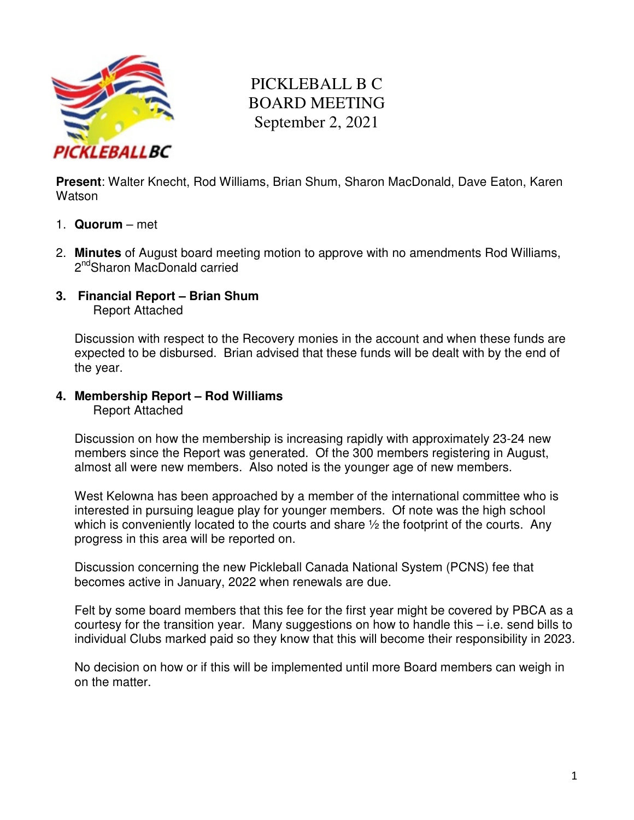

# PICKLEBALL B C BOARD MEETING September 2, 2021

**Present**: Walter Knecht, Rod Williams, Brian Shum, Sharon MacDonald, Dave Eaton, Karen Watson

- 1. **Quorum**  met
- 2. **Minutes** of August board meeting motion to approve with no amendments Rod Williams, 2<sup>nd</sup>Sharon MacDonald carried
- **3. Financial Report Brian Shum**  Report Attached

Discussion with respect to the Recovery monies in the account and when these funds are expected to be disbursed. Brian advised that these funds will be dealt with by the end of the year.

# **4. Membership Report – Rod Williams**

Report Attached

Discussion on how the membership is increasing rapidly with approximately 23-24 new members since the Report was generated. Of the 300 members registering in August, almost all were new members. Also noted is the younger age of new members.

West Kelowna has been approached by a member of the international committee who is interested in pursuing league play for younger members. Of note was the high school which is conveniently located to the courts and share  $\frac{1}{2}$  the footprint of the courts. Any progress in this area will be reported on.

Discussion concerning the new Pickleball Canada National System (PCNS) fee that becomes active in January, 2022 when renewals are due.

Felt by some board members that this fee for the first year might be covered by PBCA as a courtesy for the transition year. Many suggestions on how to handle this – i.e. send bills to individual Clubs marked paid so they know that this will become their responsibility in 2023.

No decision on how or if this will be implemented until more Board members can weigh in on the matter.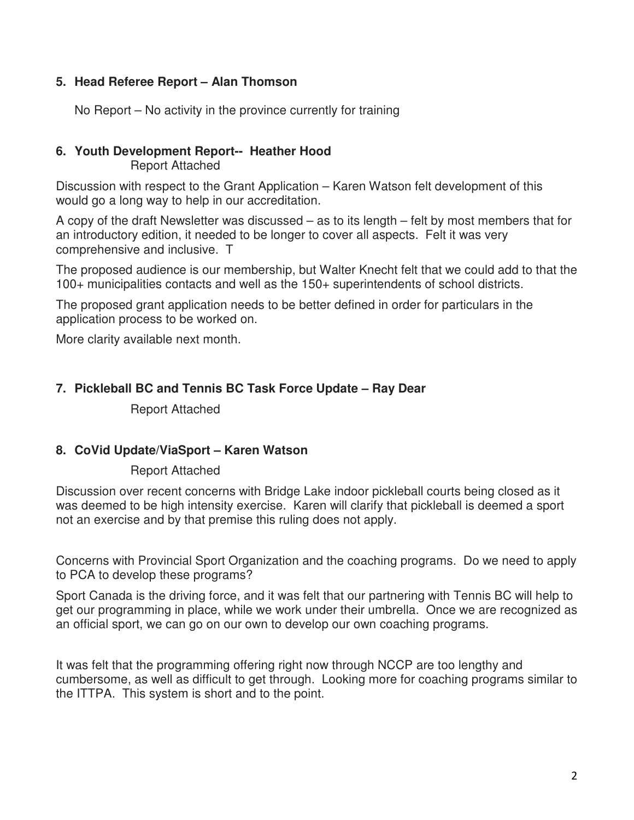## **5. Head Referee Report – Alan Thomson**

No Report – No activity in the province currently for training

## **6. Youth Development Report-- Heather Hood**

Report Attached

Discussion with respect to the Grant Application – Karen Watson felt development of this would go a long way to help in our accreditation.

A copy of the draft Newsletter was discussed – as to its length – felt by most members that for an introductory edition, it needed to be longer to cover all aspects. Felt it was very comprehensive and inclusive. T

The proposed audience is our membership, but Walter Knecht felt that we could add to that the 100+ municipalities contacts and well as the 150+ superintendents of school districts.

The proposed grant application needs to be better defined in order for particulars in the application process to be worked on.

More clarity available next month.

## **7. Pickleball BC and Tennis BC Task Force Update – Ray Dear**

Report Attached

## **8. CoVid Update/ViaSport – Karen Watson**

## Report Attached

Discussion over recent concerns with Bridge Lake indoor pickleball courts being closed as it was deemed to be high intensity exercise. Karen will clarify that pickleball is deemed a sport not an exercise and by that premise this ruling does not apply.

Concerns with Provincial Sport Organization and the coaching programs. Do we need to apply to PCA to develop these programs?

Sport Canada is the driving force, and it was felt that our partnering with Tennis BC will help to get our programming in place, while we work under their umbrella. Once we are recognized as an official sport, we can go on our own to develop our own coaching programs.

It was felt that the programming offering right now through NCCP are too lengthy and cumbersome, as well as difficult to get through. Looking more for coaching programs similar to the ITTPA. This system is short and to the point.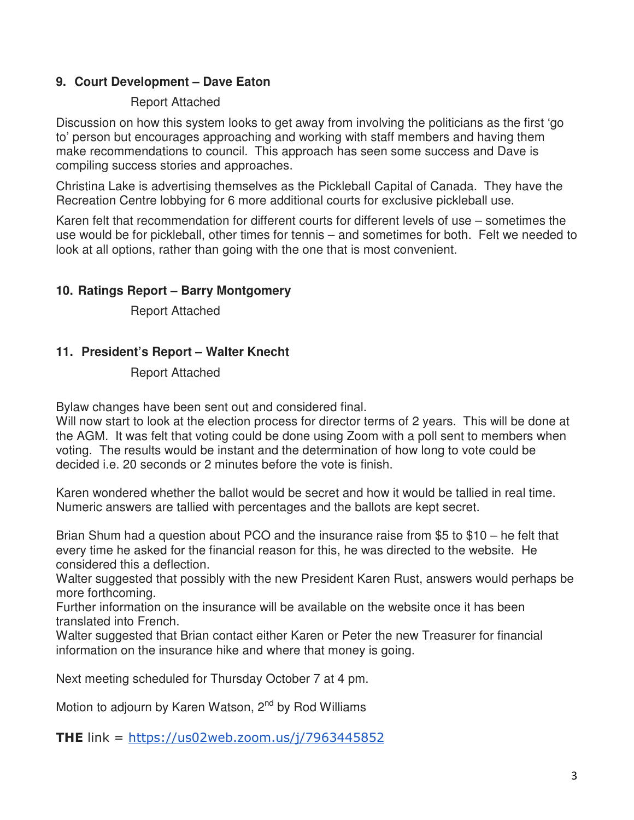## **9. Court Development – Dave Eaton**

## Report Attached

Discussion on how this system looks to get away from involving the politicians as the first 'go to' person but encourages approaching and working with staff members and having them make recommendations to council. This approach has seen some success and Dave is compiling success stories and approaches.

Christina Lake is advertising themselves as the Pickleball Capital of Canada. They have the Recreation Centre lobbying for 6 more additional courts for exclusive pickleball use.

Karen felt that recommendation for different courts for different levels of use – sometimes the use would be for pickleball, other times for tennis – and sometimes for both. Felt we needed to look at all options, rather than going with the one that is most convenient.

## **10. Ratings Report – Barry Montgomery**

Report Attached

## **11. President's Report – Walter Knecht**

Report Attached

Bylaw changes have been sent out and considered final.

Will now start to look at the election process for director terms of 2 years. This will be done at the AGM. It was felt that voting could be done using Zoom with a poll sent to members when voting. The results would be instant and the determination of how long to vote could be decided i.e. 20 seconds or 2 minutes before the vote is finish.

Karen wondered whether the ballot would be secret and how it would be tallied in real time. Numeric answers are tallied with percentages and the ballots are kept secret.

Brian Shum had a question about PCO and the insurance raise from \$5 to \$10 – he felt that every time he asked for the financial reason for this, he was directed to the website. He considered this a deflection.

Walter suggested that possibly with the new President Karen Rust, answers would perhaps be more forthcoming.

Further information on the insurance will be available on the website once it has been translated into French.

Walter suggested that Brian contact either Karen or Peter the new Treasurer for financial information on the insurance hike and where that money is going.

Next meeting scheduled for Thursday October 7 at 4 pm.

Motion to adjourn by Karen Watson, 2<sup>nd</sup> by Rod Williams

**THE** link = https://us02web.zoom.us/j/7963445852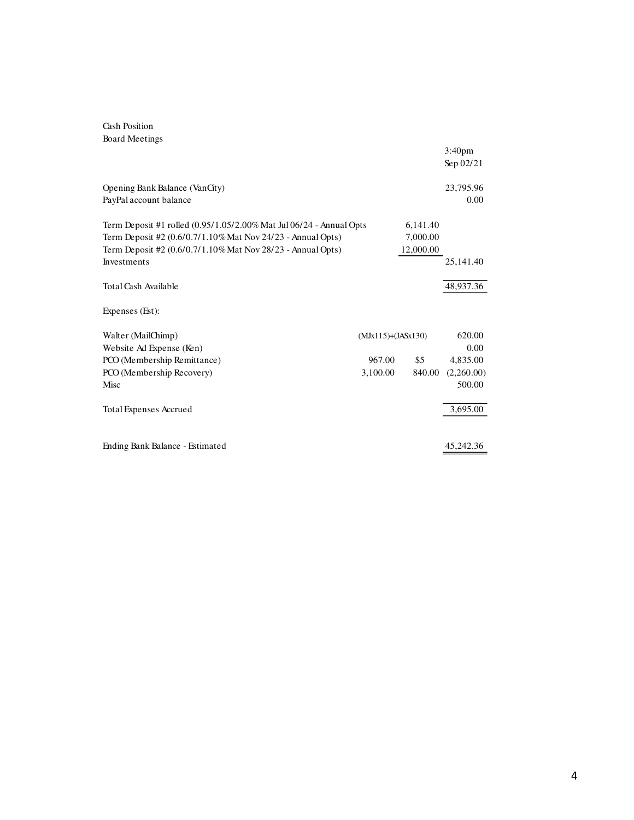#### Cash Position Board Meetings

|                                                                     |                      |           | 3:40 <sub>pm</sub><br>Sep 02/21 |
|---------------------------------------------------------------------|----------------------|-----------|---------------------------------|
| Opening Bank Balance (VanCity)                                      |                      |           | 23,795.96                       |
| PayPal account balance                                              |                      |           | 0.00                            |
| Term Deposit #1 rolled (0.95/1.05/2.00% Mat Jul 06/24 - Annual Opts |                      | 6,141.40  |                                 |
| Term Deposit #2 (0.6/0.7/1.10% Mat Nov 24/23 - Annual Opts)         |                      | 7,000.00  |                                 |
| Term Deposit #2 (0.6/0.7/1.10% Mat Nov 28/23 - Annual Opts)         |                      | 12,000.00 |                                 |
| Investments                                                         |                      |           | 25,141.40                       |
| Total Cash Available                                                |                      |           | 48,937.36                       |
| Expenses (Est):                                                     |                      |           |                                 |
| Walter (MailChimp)                                                  | $(MJx115)+(JASx130)$ |           | 620.00                          |
| Website Ad Expense (Ken)                                            |                      |           | 0.00                            |
| PCO (Membership Remittance)                                         | 967.00               | \$5       | 4,835.00                        |
| PCO (Membership Recovery)                                           | 3,100.00             | 840.00    | (2,260.00)                      |
| Misc                                                                |                      |           | 500.00                          |
| <b>Total Expenses Accrued</b>                                       |                      |           | 3,695.00                        |
| Ending Bank Balance - Estimated                                     |                      |           | 45,242.36                       |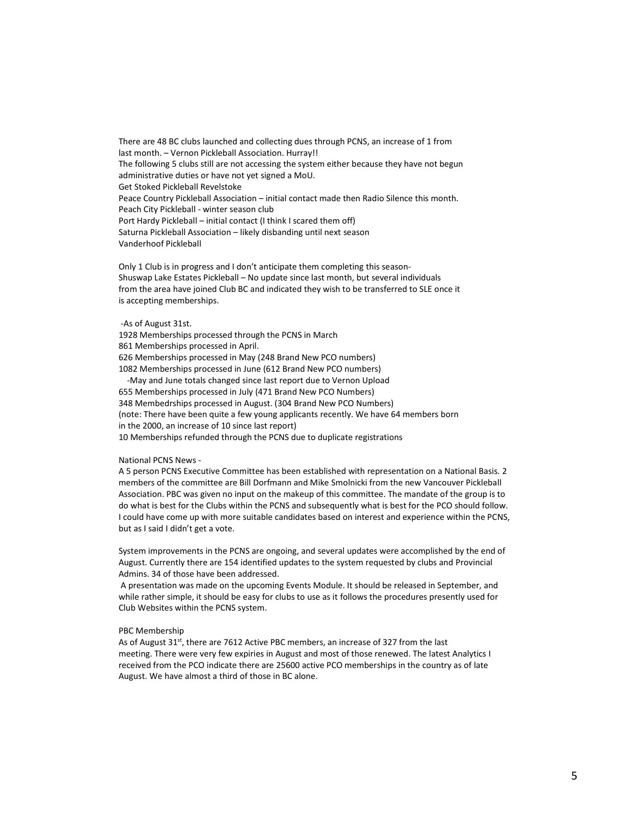There are 48 BC clubs launched and collecting dues through PCNS, an increase of 1 from last month. – Vernon Pickleball Association. Hurray!! The following 5 clubs still are not accessing the system either because they have not begun administrative duties or have not yet signed a MoU. Get Stoked Pickleball Revelstoke Peace Country Pickleball Association – initial contact made then Radio Silence this month. Peach City Pickleball - winter season club Port Hardy Pickleball – initial contact (I think I scared them off) Saturna Pickleball Association – likely disbanding until next season Vanderhoof Pickleball

Only 1 Club is in progress and I don't anticipate them completing this season-Shuswap Lake Estates Pickleball – No update since last month, but several individuals from the area have joined Club BC and indicated they wish to be transferred to SLE once it is accepting memberships.

-As of August 31st.

1928 Memberships processed through the PCNS in March 861 Memberships processed in April. 626 Memberships processed in May (248 Brand New PCO numbers) 1082 Memberships processed in June (612 Brand New PCO numbers) -May and June totals changed since last report due to Vernon Upload 655 Memberships processed in July (471 Brand New PCO Numbers) 348 Membedrships processed in August. (304 Brand New PCO Numbers) (note: There have been quite a few young applicants recently. We have 64 members born in the 2000, an increase of 10 since last report) 10 Memberships refunded through the PCNS due to duplicate registrations

#### National PCNS News -

A 5 person PCNS Executive Committee has been established with representation on a National Basis. 2 members of the committee are Bill Dorfmann and Mike Smolnicki from the new Vancouver Pickleball Association. PBC was given no input on the makeup of this committee. The mandate of the group is to do what is best for the Clubs within the PCNS and subsequently what is best for the PCO should follow. I could have come up with more suitable candidates based on interest and experience within the PCNS, but as I said I didn't get a vote.

System improvements in the PCNS are ongoing, and several updates were accomplished by the end of August. Currently there are 154 identified updates to the system requested by clubs and Provincial Admins. 34 of those have been addressed.

 A presentation was made on the upcoming Events Module. It should be released in September, and while rather simple, it should be easy for clubs to use as it follows the procedures presently used for Club Websites within the PCNS system.

#### PBC Membership

As of August 31<sup>st</sup>, there are 7612 Active PBC members, an increase of 327 from the last meeting. There were very few expiries in August and most of those renewed. The latest Analytics I received from the PCO indicate there are 25600 active PCO memberships in the country as of late August. We have almost a third of those in BC alone.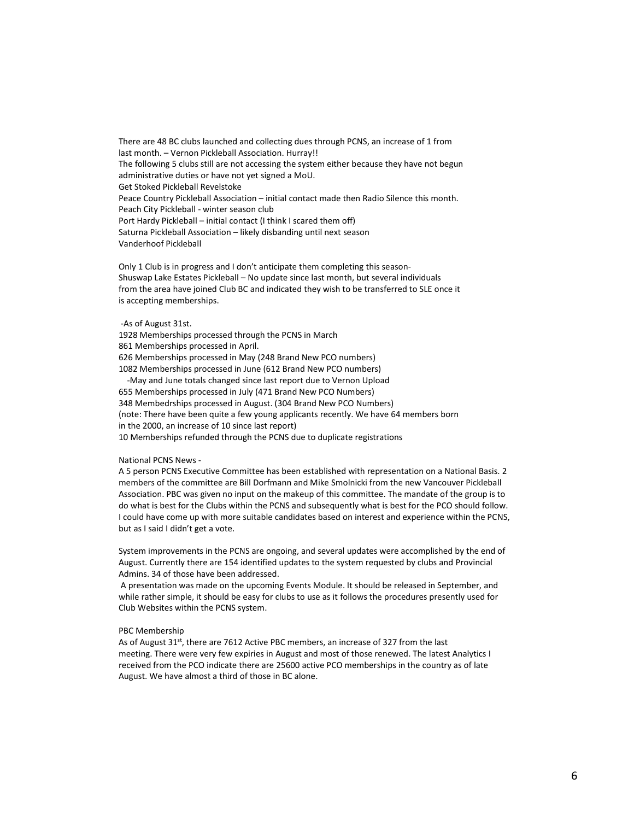There are 48 BC clubs launched and collecting dues through PCNS, an increase of 1 from last month. – Vernon Pickleball Association. Hurray!! The following 5 clubs still are not accessing the system either because they have not begun administrative duties or have not yet signed a MoU. Get Stoked Pickleball Revelstoke Peace Country Pickleball Association – initial contact made then Radio Silence this month. Peach City Pickleball - winter season club Port Hardy Pickleball – initial contact (I think I scared them off) Saturna Pickleball Association – likely disbanding until next season Vanderhoof Pickleball

Only 1 Club is in progress and I don't anticipate them completing this season-Shuswap Lake Estates Pickleball – No update since last month, but several individuals from the area have joined Club BC and indicated they wish to be transferred to SLE once it is accepting memberships.

-As of August 31st.

1928 Memberships processed through the PCNS in March 861 Memberships processed in April. 626 Memberships processed in May (248 Brand New PCO numbers) 1082 Memberships processed in June (612 Brand New PCO numbers) -May and June totals changed since last report due to Vernon Upload 655 Memberships processed in July (471 Brand New PCO Numbers) 348 Membedrships processed in August. (304 Brand New PCO Numbers) (note: There have been quite a few young applicants recently. We have 64 members born in the 2000, an increase of 10 since last report) 10 Memberships refunded through the PCNS due to duplicate registrations

#### National PCNS News -

A 5 person PCNS Executive Committee has been established with representation on a National Basis. 2 members of the committee are Bill Dorfmann and Mike Smolnicki from the new Vancouver Pickleball Association. PBC was given no input on the makeup of this committee. The mandate of the group is to do what is best for the Clubs within the PCNS and subsequently what is best for the PCO should follow. I could have come up with more suitable candidates based on interest and experience within the PCNS, but as I said I didn't get a vote.

System improvements in the PCNS are ongoing, and several updates were accomplished by the end of August. Currently there are 154 identified updates to the system requested by clubs and Provincial Admins. 34 of those have been addressed.

 A presentation was made on the upcoming Events Module. It should be released in September, and while rather simple, it should be easy for clubs to use as it follows the procedures presently used for Club Websites within the PCNS system.

#### PBC Membership

As of August 31<sup>st</sup>, there are 7612 Active PBC members, an increase of 327 from the last meeting. There were very few expiries in August and most of those renewed. The latest Analytics I received from the PCO indicate there are 25600 active PCO memberships in the country as of late August. We have almost a third of those in BC alone.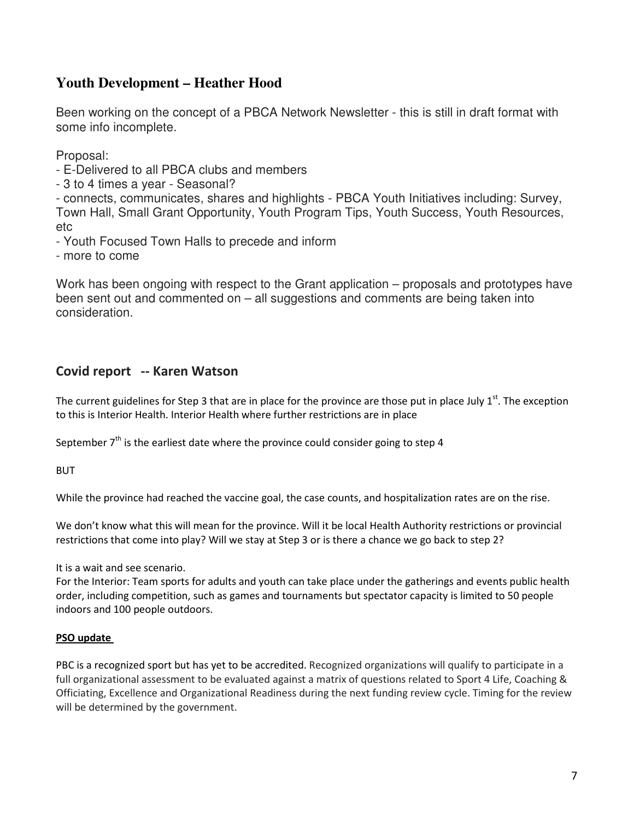## **Youth Development – Heather Hood**

Been working on the concept of a PBCA Network Newsletter - this is still in draft format with some info incomplete.

Proposal:

- E-Delivered to all PBCA clubs and members

- 3 to 4 times a year - Seasonal?

- connects, communicates, shares and highlights - PBCA Youth Initiatives including: Survey, Town Hall, Small Grant Opportunity, Youth Program Tips, Youth Success, Youth Resources, etc

- Youth Focused Town Halls to precede and inform

- more to come

Work has been ongoing with respect to the Grant application – proposals and prototypes have been sent out and commented on – all suggestions and comments are being taken into consideration.

## **Covid report -- Karen Watson**

The current guidelines for Step 3 that are in place for the province are those put in place July  $1<sup>st</sup>$ . The exception to this is Interior Health. Interior Health where further restrictions are in place

September  $7<sup>th</sup>$  is the earliest date where the province could consider going to step 4

BUT

While the province had reached the vaccine goal, the case counts, and hospitalization rates are on the rise.

We don't know what this will mean for the province. Will it be local Health Authority restrictions or provincial restrictions that come into play? Will we stay at Step 3 or is there a chance we go back to step 2?

It is a wait and see scenario.

For the Interior: Team sports for adults and youth can take place under the gatherings and events public health order, including competition, such as games and tournaments but spectator capacity is limited to 50 people indoors and 100 people outdoors.

### **PSO update**

PBC is a recognized sport but has yet to be accredited. Recognized organizations will qualify to participate in a full organizational assessment to be evaluated against a matrix of questions related to Sport 4 Life, Coaching & Officiating, Excellence and Organizational Readiness during the next funding review cycle. Timing for the review will be determined by the government.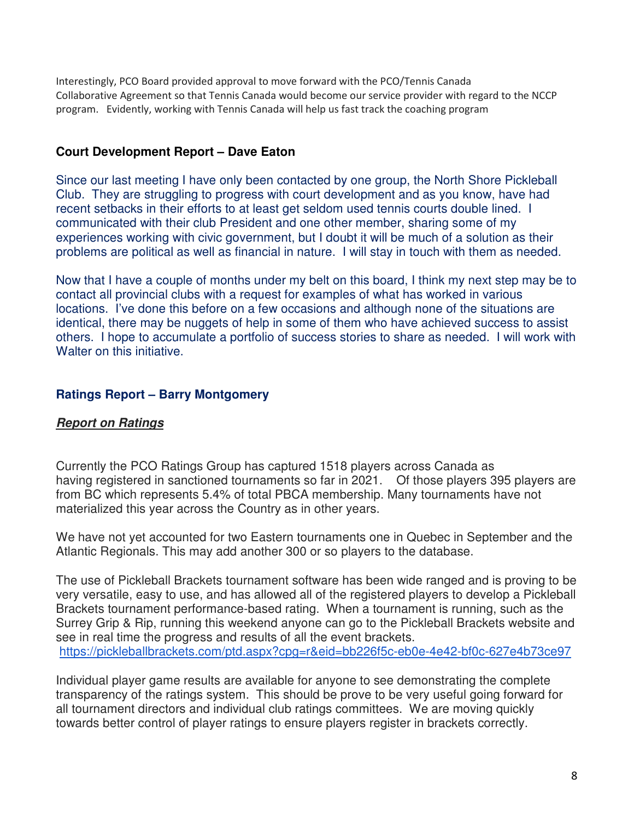Interestingly, PCO Board provided approval to move forward with the PCO/Tennis Canada Collaborative Agreement so that Tennis Canada would become our service provider with regard to the NCCP program. Evidently, working with Tennis Canada will help us fast track the coaching program

## **Court Development Report – Dave Eaton**

Since our last meeting I have only been contacted by one group, the North Shore Pickleball Club. They are struggling to progress with court development and as you know, have had recent setbacks in their efforts to at least get seldom used tennis courts double lined. I communicated with their club President and one other member, sharing some of my experiences working with civic government, but I doubt it will be much of a solution as their problems are political as well as financial in nature. I will stay in touch with them as needed.

Now that I have a couple of months under my belt on this board, I think my next step may be to contact all provincial clubs with a request for examples of what has worked in various locations. I've done this before on a few occasions and although none of the situations are identical, there may be nuggets of help in some of them who have achieved success to assist others. I hope to accumulate a portfolio of success stories to share as needed. I will work with Walter on this initiative.

## **Ratings Report – Barry Montgomery**

## **Report on Ratings**

Currently the PCO Ratings Group has captured 1518 players across Canada as having registered in sanctioned tournaments so far in 2021. Of those players 395 players are from BC which represents 5.4% of total PBCA membership. Many tournaments have not materialized this year across the Country as in other years.

We have not yet accounted for two Eastern tournaments one in Quebec in September and the Atlantic Regionals. This may add another 300 or so players to the database.

The use of Pickleball Brackets tournament software has been wide ranged and is proving to be very versatile, easy to use, and has allowed all of the registered players to develop a Pickleball Brackets tournament performance-based rating. When a tournament is running, such as the Surrey Grip & Rip, running this weekend anyone can go to the Pickleball Brackets website and see in real time the progress and results of all the event brackets. https://pickleballbrackets.com/ptd.aspx?cpg=r&eid=bb226f5c-eb0e-4e42-bf0c-627e4b73ce97

Individual player game results are available for anyone to see demonstrating the complete transparency of the ratings system. This should be prove to be very useful going forward for all tournament directors and individual club ratings committees. We are moving quickly towards better control of player ratings to ensure players register in brackets correctly.